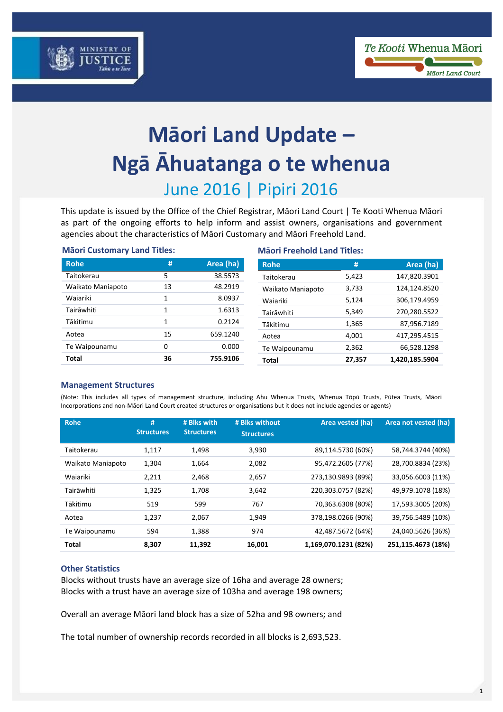



# **Māori Land Update – Ngā Āhuatanga o te whenua** June 2016 | Pipiri 2016

This update is issued by the Office of the Chief Registrar, Māori Land Court | Te Kooti Whenua Māori as part of the ongoing efforts to help inform and assist owners, organisations and government agencies about the characteristics of Māori Customary and Māori Freehold Land.

| <b>Mäori Customary Land Titles:</b> |    |           | <b>Mäori Freehold Land Titles:</b> |        |                |  |
|-------------------------------------|----|-----------|------------------------------------|--------|----------------|--|
| <b>Rohe</b>                         | #  | Area (ha) | <b>Rohe</b>                        | #      | Area (ha)      |  |
| Taitokerau                          | 5  | 38.5573   | Taitokerau                         | 5,423  | 147,820.3901   |  |
| Waikato Maniapoto                   | 13 | 48.2919   | Waikato Maniapoto                  | 3,733  | 124,124.8520   |  |
| Waiariki                            | 1  | 8.0937    | Waiariki                           | 5,124  | 306,179.4959   |  |
| Tairāwhiti                          | 1  | 1.6313    | Tairāwhiti                         | 5,349  | 270,280.5522   |  |
| Tākitimu                            | 1  | 0.2124    | Tākitimu                           | 1,365  | 87,956.7189    |  |
| Aotea                               | 15 | 659.1240  | Aotea                              | 4.001  | 417,295.4515   |  |
| Te Waipounamu                       | 0  | 0.000     | Te Waipounamu                      | 2,362  | 66,528.1298    |  |
| Total                               | 36 | 755.9106  | Total                              | 27.357 | 1,420,185.5904 |  |

## **Management Structures**

(Note: This includes all types of management structure, including Ahu Whenua Trusts, Whenua Tōpū Trusts, Pūtea Trusts, Māori Incorporations and non-Māori Land Court created structures or organisations but it does not include agencies or agents)

| <b>Rohe</b>       | #<br><b>Structures</b> | # Blks with<br><b>Structures</b> | # Blks without<br><b>Structures</b> | Area vested (ha)     | Area not vested (ha) |
|-------------------|------------------------|----------------------------------|-------------------------------------|----------------------|----------------------|
| Taitokerau        | 1,117                  | 1,498                            | 3,930                               | 89,114.5730 (60%)    | 58,744.3744 (40%)    |
| Waikato Maniapoto | 1.304                  | 1,664                            | 2.082                               | 95,472.2605 (77%)    | 28,700.8834 (23%)    |
| Waiariki          | 2,211                  | 2,468                            | 2,657                               | 273,130.9893 (89%)   | 33,056.6003 (11%)    |
| Tairāwhiti        | 1.325                  | 1,708                            | 3,642                               | 220,303.0757 (82%)   | 49,979.1078 (18%)    |
| Tākitimu          | 519                    | 599                              | 767                                 | 70,363.6308 (80%)    | 17,593.3005 (20%)    |
| Aotea             | 1.237                  | 2,067                            | 1.949                               | 378,198.0266 (90%)   | 39,756.5489 (10%)    |
| Te Waipounamu     | 594                    | 1,388                            | 974                                 | 42,487.5672 (64%)    | 24,040.5626 (36%)    |
| <b>Total</b>      | 8,307                  | 11,392                           | 16,001                              | 1,169,070.1231 (82%) | 251,115.4673 (18%)   |

#### **Other Statistics**

Blocks without trusts have an average size of 16ha and average 28 owners; Blocks with a trust have an average size of 103ha and average 198 owners;

Overall an average Māori land block has a size of 52ha and 98 owners; and

The total number of ownership records recorded in all blocks is 2,693,523.